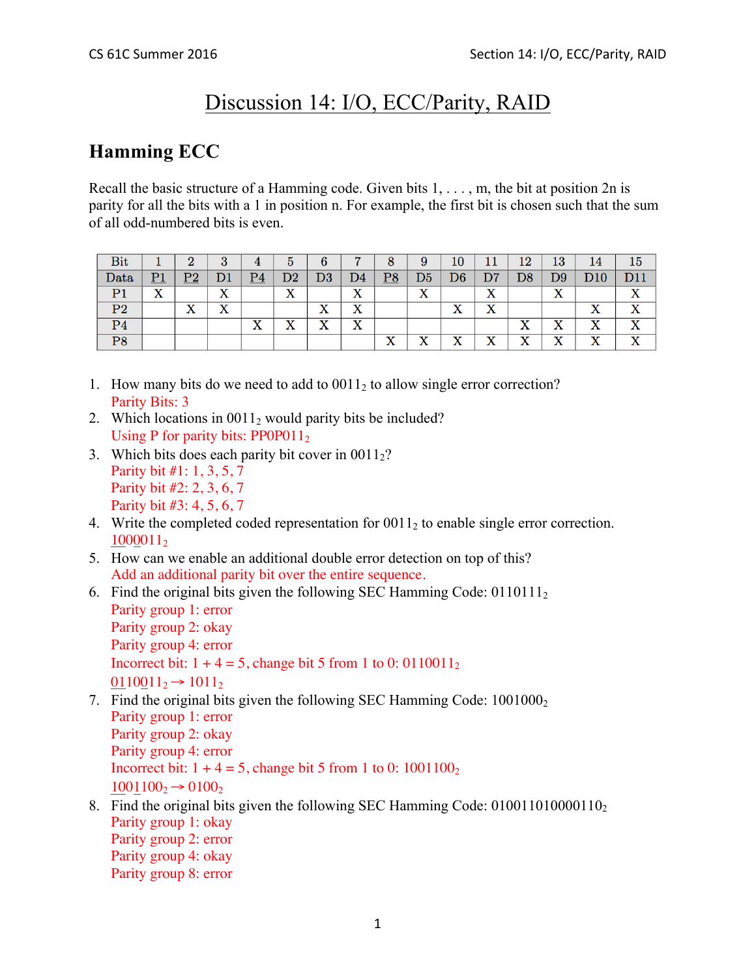# Discussion 14: I/O, ECC/Parity, RAID

## **Hamming ECC**

Recall the basic structure of a Hamming code. Given bits  $1, \ldots, m$ , the bit at position  $2n$  is parity for all the bits with a 1 in position n. For example, the first bit is chosen such that the sum of all odd-numbered bits is even.

| Bit            |                       | റ        | 2<br>υ  | 4                      | $\mathbf b$     | 6             |                           | 8                  | 9        | 10             |                           | 12             | 13      | 14                        | 15   |
|----------------|-----------------------|----------|---------|------------------------|-----------------|---------------|---------------------------|--------------------|----------|----------------|---------------------------|----------------|---------|---------------------------|------|
| Data           | P1                    | פס<br>∼  | D1      | $\overline{\text{P4}}$ | $\mathrm{D}2$   | $\mathrm{D}3$ | D4                        | $\overline{P8}$    | D5       | D6             | D7                        | $\mathrm{D}8$  | D9      | D10                       | 11 ר |
| D <sub>1</sub> | $\overline{\text{X}}$ |          | v<br>́△ |                        | xz<br>$\Lambda$ |               | $\mathbf{v}$<br>$\Lambda$ |                    | v<br>⋏   |                | X                         |                | x       |                           | ٦z   |
| P <sub>2</sub> |                       | xz<br>́́ | v<br>́△ |                        |                 | X             | $\mathbf{v}$<br>$\Lambda$ |                    |          | X              | $\mathbf v$<br>$\Lambda$  |                |         | w                         |      |
| P <sub>4</sub> |                       |          |         | v<br>$\Lambda$         | v<br>$\Lambda$  | X             | $\mathbf{v}$<br>$\Lambda$ |                    |          |                |                           | v<br>$\Lambda$ | v<br>́́ | $\mathbf{v}$<br>$\Lambda$ |      |
| P <sub>8</sub> |                       |          |         |                        |                 |               |                           | $\mathbf{v}$<br>́△ | v<br>-11 | v<br>$\Lambda$ | $\mathbf{v}$<br>$\Lambda$ | ٦Z<br>∡⊾       | v<br>́́ | $\mathbf{v}$<br>$\Lambda$ | ≖    |

- 1. How many bits do we need to add to 00112 to allow single error correction? Parity Bits: 3
- 2. Which locations in  $0.011_2$  would parity bits be included? Using P for parity bits:  $PP0P011<sub>2</sub>$
- 3. Which bits does each parity bit cover in  $0011<sub>2</sub>$ ? Parity bit #1: 1, 3, 5, 7 Parity bit #2: 2, 3, 6, 7 Parity bit #3: 4, 5, 6, 7
- 4. Write the completed coded representation for  $0011<sub>2</sub>$  to enable single error correction. 10000112
- 5. How can we enable an additional double error detection on top of this? Add an additional parity bit over the entire sequence.
- 6. Find the original bits given the following SEC Hamming Code:  $0110111<sub>2</sub>$ Parity group 1: error Parity group 2: okay Parity group 4: error Incorrect bit:  $1 + 4 = 5$ , change bit 5 from 1 to 0: 0110011<sub>2</sub>  $0110011_2 \rightarrow 1011_2$
- 7. Find the original bits given the following SEC Hamming Code:  $1001000<sub>2</sub>$ Parity group 1: error Parity group 2: okay Parity group 4: error Incorrect bit:  $1 + 4 = 5$ , change bit 5 from 1 to 0: 1001100<sub>2</sub>  $1001100_2 \rightarrow 0100_2$
- 8. Find the original bits given the following SEC Hamming Code: 010011010000110<sub>2</sub> Parity group 1: okay Parity group 2: error Parity group 4: okay Parity group 8: error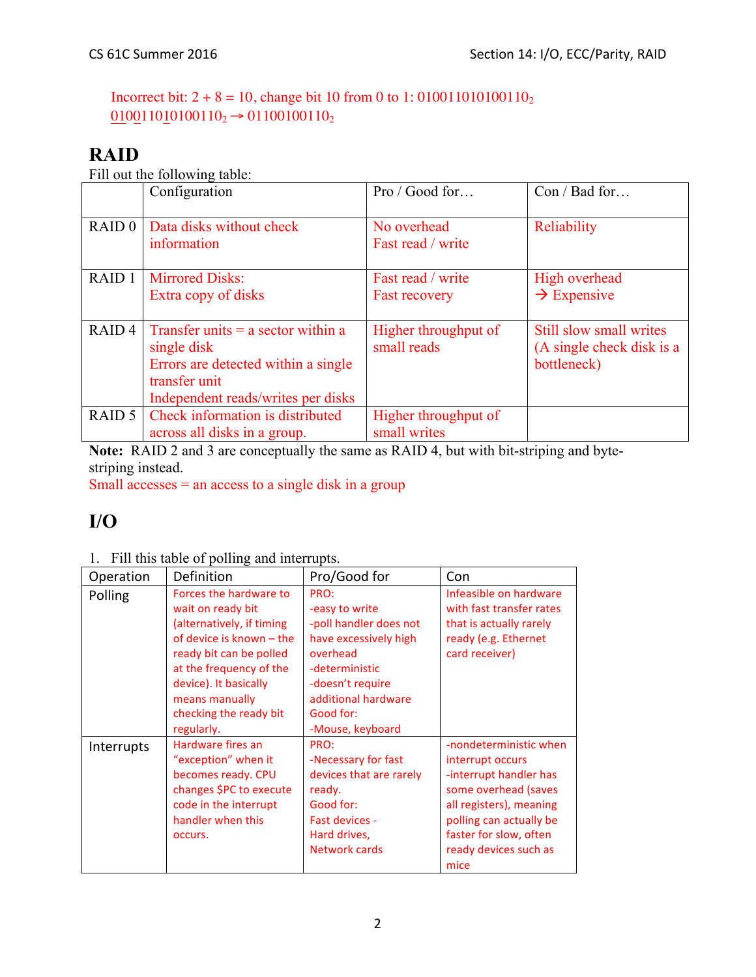Incorrect bit:  $2 + 8 = 10$ , change bit 10 from 0 to 1: 01001101010110<sub>2</sub>  $0.10011010100110_2 \rightarrow 0.1100100110_2$ 

### **RAID**

Fill out the following table:

|                   | Configuration                                       | Pro / Good for                      | Con / Bad for                                        |
|-------------------|-----------------------------------------------------|-------------------------------------|------------------------------------------------------|
| RAID <sub>0</sub> | Data disks without check<br>information             | No overhead<br>Fast read / write    | Reliability                                          |
| RAID <sub>1</sub> | <b>Mirrored Disks:</b>                              | Fast read / write                   | High overhead                                        |
|                   | Extra copy of disks                                 | <b>Fast recovery</b>                | $\rightarrow$ Expensive                              |
|                   |                                                     |                                     |                                                      |
| RAID <sub>4</sub> | Transfer units $=$ a sector within a<br>single disk | Higher throughput of<br>small reads | Still slow small writes<br>(A single check disk is a |
|                   | Errors are detected within a single                 |                                     | bottleneck)                                          |
|                   | transfer unit                                       |                                     |                                                      |
|                   | Independent reads/writes per disks                  |                                     |                                                      |
| RAID 5            | Check information is distributed                    | Higher throughput of                |                                                      |
|                   | across all disks in a group.                        | small writes                        |                                                      |

**Note:** RAID 2 and 3 are conceptually the same as RAID 4, but with bit-striping and bytestriping instead.

Small accesses = an access to a single disk in a group

### **I/O**

#### 1. Fill this table of polling and interrupts.

| Operation  | <b>Definition</b>                                                                                                                                                                                                                             | Pro/Good for                                                                                                                                                                        | Con                                                                                                                                                                                                           |
|------------|-----------------------------------------------------------------------------------------------------------------------------------------------------------------------------------------------------------------------------------------------|-------------------------------------------------------------------------------------------------------------------------------------------------------------------------------------|---------------------------------------------------------------------------------------------------------------------------------------------------------------------------------------------------------------|
| Polling    | Forces the hardware to<br>wait on ready bit<br>(alternatively, if timing<br>of device is known - the<br>ready bit can be polled<br>at the frequency of the<br>device). It basically<br>means manually<br>checking the ready bit<br>regularly. | PRO:<br>-easy to write<br>-poll handler does not<br>have excessively high<br>overhead<br>-deterministic<br>-doesn't require<br>additional hardware<br>Good for:<br>-Mouse, keyboard | Infeasible on hardware<br>with fast transfer rates<br>that is actually rarely<br>ready (e.g. Ethernet<br>card receiver)                                                                                       |
| Interrupts | Hardware fires an<br>"exception" when it<br>becomes ready. CPU<br>changes \$PC to execute<br>code in the interrupt<br>handler when this<br>occurs.                                                                                            | PRO:<br>-Necessary for fast<br>devices that are rarely<br>ready.<br>Good for:<br>Fast devices -<br>Hard drives,<br>Network cards                                                    | -nondeterministic when<br>interrupt occurs<br>-interrupt handler has<br>some overhead (saves<br>all registers), meaning<br>polling can actually be<br>faster for slow, often<br>ready devices such as<br>mice |